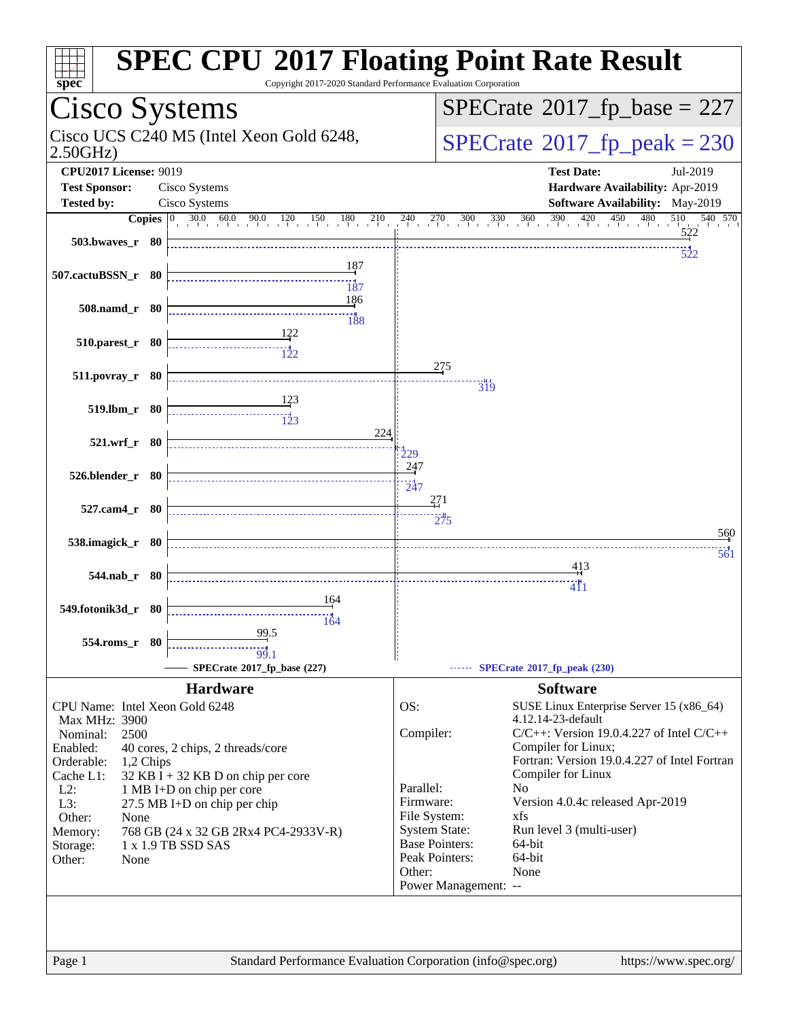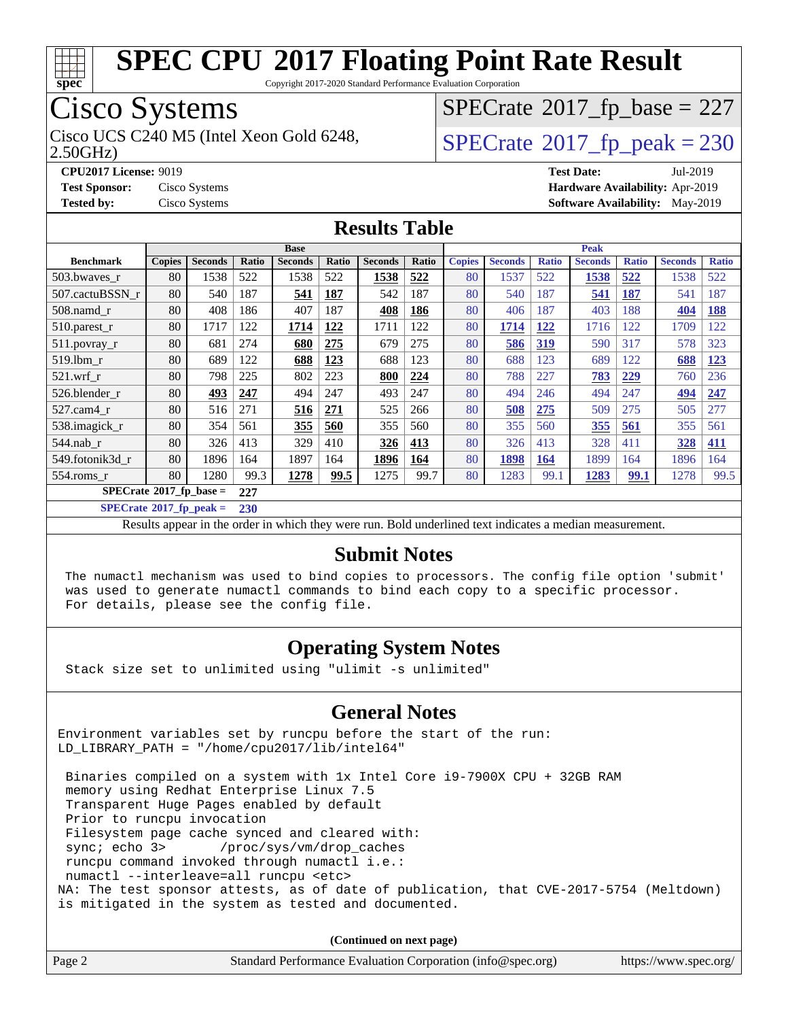

Copyright 2017-2020 Standard Performance Evaluation Corporation

## Cisco Systems

Cisco UCS C240 M5 (Intel Xeon Gold 6248,  $\vert$ [SPECrate](http://www.spec.org/auto/cpu2017/Docs/result-fields.html#SPECrate2017fppeak)®[2017\\_fp\\_peak = 2](http://www.spec.org/auto/cpu2017/Docs/result-fields.html#SPECrate2017fppeak)30

 $SPECTate$ <sup>®</sup>[2017\\_fp\\_base =](http://www.spec.org/auto/cpu2017/Docs/result-fields.html#SPECrate2017fpbase) 227

2.50GHz)

**[Tested by:](http://www.spec.org/auto/cpu2017/Docs/result-fields.html#Testedby)** Cisco Systems **[Software Availability:](http://www.spec.org/auto/cpu2017/Docs/result-fields.html#SoftwareAvailability)** May-2019

**[CPU2017 License:](http://www.spec.org/auto/cpu2017/Docs/result-fields.html#CPU2017License)** 9019 **[Test Date:](http://www.spec.org/auto/cpu2017/Docs/result-fields.html#TestDate)** Jul-2019 **[Test Sponsor:](http://www.spec.org/auto/cpu2017/Docs/result-fields.html#TestSponsor)** Cisco Systems **[Hardware Availability:](http://www.spec.org/auto/cpu2017/Docs/result-fields.html#HardwareAvailability)** Apr-2019

#### **[Results Table](http://www.spec.org/auto/cpu2017/Docs/result-fields.html#ResultsTable)**

|                                        | <b>Base</b>   |                |       |                |            | <b>Peak</b>    |       |               |                |              |                |              |                |              |
|----------------------------------------|---------------|----------------|-------|----------------|------------|----------------|-------|---------------|----------------|--------------|----------------|--------------|----------------|--------------|
| <b>Benchmark</b>                       | <b>Copies</b> | <b>Seconds</b> | Ratio | <b>Seconds</b> | Ratio      | <b>Seconds</b> | Ratio | <b>Copies</b> | <b>Seconds</b> | <b>Ratio</b> | <b>Seconds</b> | <b>Ratio</b> | <b>Seconds</b> | <b>Ratio</b> |
| 503.bwayes r                           | 80            | 1538           | 522   | 1538           | 522        | 1538           | 522   | 80            | 1537           | 522          | 1538           | 522          | 1538           | 522          |
| 507.cactuBSSN r                        | 80            | 540            | 187   | 541            | 187        | 542            | 187   | 80            | 540            | 187          | 541            | 187          | 541            | 187          |
| 508.namd_r                             | 80            | 408            | 186   | 407            | 187        | 408            | 186   | 80            | 406            | 187          | 403            | 188          | 404            | 188          |
| 510.parest_r                           | 80            | 1717           | 122   | 1714           | <u>122</u> | 1711           | 122   | 80            | 1714           | <u>122</u>   | 1716           | 122          | 1709           | 122          |
| 511.povray_r                           | 80            | 681            | 274   | 680            | 275        | 679            | 275   | 80            | 586            | <u>319</u>   | 590            | 317          | 578            | 323          |
| 519.1bm r                              | 80            | 689            | 122   | 688            | 123        | 688            | 123   | 80            | 688            | 123          | 689            | 122          | 688            | <b>123</b>   |
| $521$ .wrf r                           | 80            | 798            | 225   | 802            | 223        | 800            | 224   | 80            | 788            | 227          | 783            | 229          | 760            | 236          |
| 526.blender r                          | 80            | 493            | 247   | 494            | 247        | 493            | 247   | 80            | 494            | 246          | 494            | 247          | 494            | 247          |
| 527.cam4 r                             | 80            | 516            | 271   | 516            | 271        | 525            | 266   | 80            | 508            | 275          | 509            | 275          | 505            | 277          |
| 538.imagick_r                          | 80            | 354            | 561   | 355            | 560        | 355            | 560   | 80            | 355            | 560          | 355            | 561          | 355            | 561          |
| $544$ .nab_r                           | 80            | 326            | 413   | 329            | 410        | 326            | 413   | 80            | 326            | 413          | 328            | 411          | 328            | 411          |
| 549.fotonik3d r                        | 80            | 1896           | 164   | 1897           | 164        | 1896           | 164   | 80            | 1898           | <b>164</b>   | 1899           | 164          | 1896           | 164          |
| $554$ .roms r                          | 80            | 1280           | 99.3  | 1278           | 99.5       | 1275           | 99.7  | 80            | 1283           | 99.1         | 1283           | 99.1         | 1278           | 99.5         |
| $SPECrate$ <sup>®</sup> 2017_fp_base = |               |                | 227   |                |            |                |       |               |                |              |                |              |                |              |

**[SPECrate](http://www.spec.org/auto/cpu2017/Docs/result-fields.html#SPECrate2017fppeak)[2017\\_fp\\_peak =](http://www.spec.org/auto/cpu2017/Docs/result-fields.html#SPECrate2017fppeak) 230**

Results appear in the [order in which they were run.](http://www.spec.org/auto/cpu2017/Docs/result-fields.html#RunOrder) Bold underlined text [indicates a median measurement.](http://www.spec.org/auto/cpu2017/Docs/result-fields.html#Median)

#### **[Submit Notes](http://www.spec.org/auto/cpu2017/Docs/result-fields.html#SubmitNotes)**

 The numactl mechanism was used to bind copies to processors. The config file option 'submit' was used to generate numactl commands to bind each copy to a specific processor. For details, please see the config file.

#### **[Operating System Notes](http://www.spec.org/auto/cpu2017/Docs/result-fields.html#OperatingSystemNotes)**

Stack size set to unlimited using "ulimit -s unlimited"

#### **[General Notes](http://www.spec.org/auto/cpu2017/Docs/result-fields.html#GeneralNotes)**

Environment variables set by runcpu before the start of the run: LD\_LIBRARY\_PATH = "/home/cpu2017/lib/intel64"

 Binaries compiled on a system with 1x Intel Core i9-7900X CPU + 32GB RAM memory using Redhat Enterprise Linux 7.5 Transparent Huge Pages enabled by default Prior to runcpu invocation Filesystem page cache synced and cleared with: sync; echo 3> /proc/sys/vm/drop\_caches runcpu command invoked through numactl i.e.: numactl --interleave=all runcpu <etc> NA: The test sponsor attests, as of date of publication, that CVE-2017-5754 (Meltdown) is mitigated in the system as tested and documented.

**(Continued on next page)**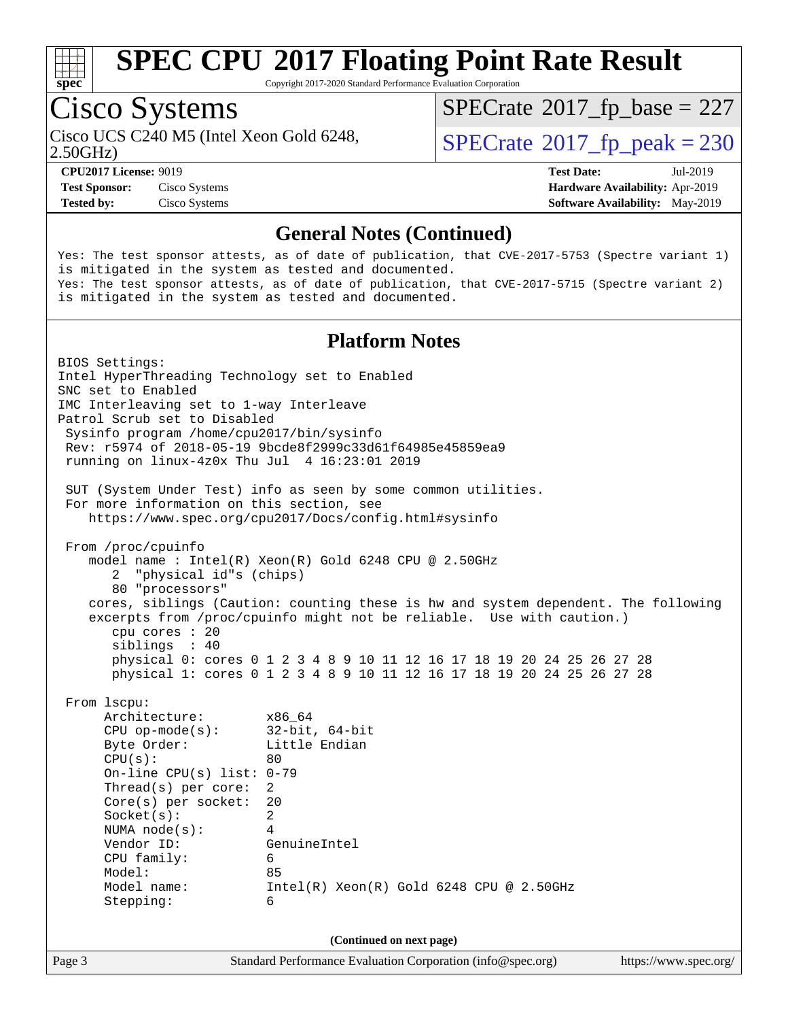

Copyright 2017-2020 Standard Performance Evaluation Corporation

# Cisco Systems

 $SPECTate$ <sup>®</sup>[2017\\_fp\\_base =](http://www.spec.org/auto/cpu2017/Docs/result-fields.html#SPECrate2017fpbase) 227

2.50GHz)

Cisco UCS C240 M5 (Intel Xeon Gold 6248,  $\vert$ [SPECrate](http://www.spec.org/auto/cpu2017/Docs/result-fields.html#SPECrate2017fppeak)®[2017\\_fp\\_peak = 2](http://www.spec.org/auto/cpu2017/Docs/result-fields.html#SPECrate2017fppeak)30

**[Test Sponsor:](http://www.spec.org/auto/cpu2017/Docs/result-fields.html#TestSponsor)** Cisco Systems **[Hardware Availability:](http://www.spec.org/auto/cpu2017/Docs/result-fields.html#HardwareAvailability)** Apr-2019 **[Tested by:](http://www.spec.org/auto/cpu2017/Docs/result-fields.html#Testedby)** Cisco Systems **[Software Availability:](http://www.spec.org/auto/cpu2017/Docs/result-fields.html#SoftwareAvailability)** May-2019

**[CPU2017 License:](http://www.spec.org/auto/cpu2017/Docs/result-fields.html#CPU2017License)** 9019 **[Test Date:](http://www.spec.org/auto/cpu2017/Docs/result-fields.html#TestDate)** Jul-2019

#### **[General Notes \(Continued\)](http://www.spec.org/auto/cpu2017/Docs/result-fields.html#GeneralNotes)**

Yes: The test sponsor attests, as of date of publication, that CVE-2017-5753 (Spectre variant 1) is mitigated in the system as tested and documented. Yes: The test sponsor attests, as of date of publication, that CVE-2017-5715 (Spectre variant 2) is mitigated in the system as tested and documented.

#### **[Platform Notes](http://www.spec.org/auto/cpu2017/Docs/result-fields.html#PlatformNotes)**

Page 3 Standard Performance Evaluation Corporation [\(info@spec.org\)](mailto:info@spec.org) <https://www.spec.org/> BIOS Settings: Intel HyperThreading Technology set to Enabled SNC set to Enabled IMC Interleaving set to 1-way Interleave Patrol Scrub set to Disabled Sysinfo program /home/cpu2017/bin/sysinfo Rev: r5974 of 2018-05-19 9bcde8f2999c33d61f64985e45859ea9 running on linux-4z0x Thu Jul 4 16:23:01 2019 SUT (System Under Test) info as seen by some common utilities. For more information on this section, see <https://www.spec.org/cpu2017/Docs/config.html#sysinfo> From /proc/cpuinfo model name : Intel(R) Xeon(R) Gold 6248 CPU @ 2.50GHz 2 "physical id"s (chips) 80 "processors" cores, siblings (Caution: counting these is hw and system dependent. The following excerpts from /proc/cpuinfo might not be reliable. Use with caution.) cpu cores : 20 siblings : 40 physical 0: cores 0 1 2 3 4 8 9 10 11 12 16 17 18 19 20 24 25 26 27 28 physical 1: cores 0 1 2 3 4 8 9 10 11 12 16 17 18 19 20 24 25 26 27 28 From lscpu: Architecture: x86\_64 CPU op-mode(s): 32-bit, 64-bit Byte Order: Little Endian  $CPU(s):$  80 On-line CPU(s) list: 0-79 Thread(s) per core: 2 Core(s) per socket: 20 Socket(s): 2 NUMA node(s): 4 Vendor ID: GenuineIntel CPU family: 6 Model: 85 Model name: Intel(R) Xeon(R) Gold 6248 CPU @ 2.50GHz Stepping: 6 **(Continued on next page)**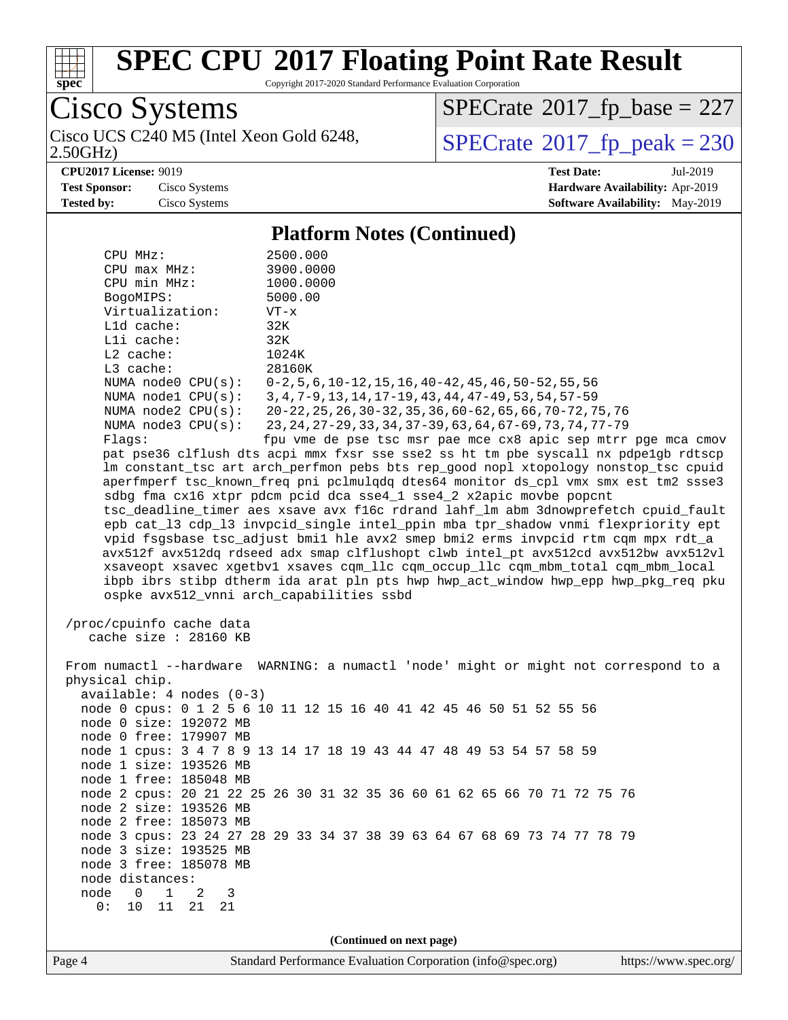

2.50GHz)

# **[SPEC CPU](http://www.spec.org/auto/cpu2017/Docs/result-fields.html#SPECCPU2017FloatingPointRateResult)[2017 Floating Point Rate Result](http://www.spec.org/auto/cpu2017/Docs/result-fields.html#SPECCPU2017FloatingPointRateResult)**

Copyright 2017-2020 Standard Performance Evaluation Corporation

Cisco Systems<br>Cisco UCS C240 M5 (Intel Xeon Gold 6248,

 $SPECrate$ <sup>®</sup>[2017\\_fp\\_base =](http://www.spec.org/auto/cpu2017/Docs/result-fields.html#SPECrate2017fpbase) 227

 $SPECTate$ <sup>®</sup>[2017\\_fp\\_peak = 2](http://www.spec.org/auto/cpu2017/Docs/result-fields.html#SPECrate2017fppeak)30

**[CPU2017 License:](http://www.spec.org/auto/cpu2017/Docs/result-fields.html#CPU2017License)** 9019 **[Test Date:](http://www.spec.org/auto/cpu2017/Docs/result-fields.html#TestDate)** Jul-2019 **[Test Sponsor:](http://www.spec.org/auto/cpu2017/Docs/result-fields.html#TestSponsor)** Cisco Systems **[Hardware Availability:](http://www.spec.org/auto/cpu2017/Docs/result-fields.html#HardwareAvailability)** Apr-2019 **[Tested by:](http://www.spec.org/auto/cpu2017/Docs/result-fields.html#Testedby)** Cisco Systems **[Software Availability:](http://www.spec.org/auto/cpu2017/Docs/result-fields.html#SoftwareAvailability)** May-2019

#### **[Platform Notes \(Continued\)](http://www.spec.org/auto/cpu2017/Docs/result-fields.html#PlatformNotes)**

| CPU MHz:                                         | 2500.000                                                                                                                                                                   |  |  |  |  |
|--------------------------------------------------|----------------------------------------------------------------------------------------------------------------------------------------------------------------------------|--|--|--|--|
| $CPU$ $max$ $MHz$ :                              | 3900.0000                                                                                                                                                                  |  |  |  |  |
| CPU min MHz:                                     | 1000.0000                                                                                                                                                                  |  |  |  |  |
| BogoMIPS:                                        | 5000.00                                                                                                                                                                    |  |  |  |  |
| Virtualization:                                  | $VT - x$                                                                                                                                                                   |  |  |  |  |
| L1d cache:                                       | 32K                                                                                                                                                                        |  |  |  |  |
| Lli cache:                                       | 32K                                                                                                                                                                        |  |  |  |  |
| $L2$ cache:                                      | 1024K                                                                                                                                                                      |  |  |  |  |
| L3 cache:                                        | 28160K                                                                                                                                                                     |  |  |  |  |
| NUMA node0 CPU(s):                               | $0-2, 5, 6, 10-12, 15, 16, 40-42, 45, 46, 50-52, 55, 56$                                                                                                                   |  |  |  |  |
| NUMA nodel CPU(s):                               | 3, 4, 7-9, 13, 14, 17-19, 43, 44, 47-49, 53, 54, 57-59                                                                                                                     |  |  |  |  |
| NUMA $node2$ $CPU(s):$                           | 20-22, 25, 26, 30-32, 35, 36, 60-62, 65, 66, 70-72, 75, 76                                                                                                                 |  |  |  |  |
| NUMA $node3$ $CPU(s):$                           | 23, 24, 27-29, 33, 34, 37-39, 63, 64, 67-69, 73, 74, 77-79                                                                                                                 |  |  |  |  |
| Flaqs:                                           | fpu vme de pse tsc msr pae mce cx8 apic sep mtrr pge mca cmov                                                                                                              |  |  |  |  |
|                                                  | pat pse36 clflush dts acpi mmx fxsr sse sse2 ss ht tm pbe syscall nx pdpelgb rdtscp<br>lm constant_tsc art arch_perfmon pebs bts rep_good nopl xtopology nonstop_tsc cpuid |  |  |  |  |
|                                                  | aperfmperf tsc_known_freq pni pclmulqdq dtes64 monitor ds_cpl vmx smx est tm2 ssse3                                                                                        |  |  |  |  |
|                                                  | sdbg fma cx16 xtpr pdcm pcid dca sse4_1 sse4_2 x2apic movbe popcnt                                                                                                         |  |  |  |  |
|                                                  | tsc_deadline_timer aes xsave avx f16c rdrand lahf_lm abm 3dnowprefetch cpuid_fault                                                                                         |  |  |  |  |
|                                                  | epb cat_13 cdp_13 invpcid_single intel_ppin mba tpr_shadow vnmi flexpriority ept                                                                                           |  |  |  |  |
|                                                  | vpid fsgsbase tsc_adjust bmil hle avx2 smep bmi2 erms invpcid rtm cqm mpx rdt_a                                                                                            |  |  |  |  |
|                                                  | avx512f avx512dq rdseed adx smap clflushopt clwb intel_pt avx512cd avx512bw avx512vl                                                                                       |  |  |  |  |
|                                                  | xsaveopt xsavec xgetbvl xsaves cqm_llc cqm_occup_llc cqm_mbm_total cqm_mbm_local                                                                                           |  |  |  |  |
|                                                  | ibpb ibrs stibp dtherm ida arat pln pts hwp hwp_act_window hwp_epp hwp_pkg_req pku                                                                                         |  |  |  |  |
|                                                  | ospke avx512_vnni arch_capabilities ssbd                                                                                                                                   |  |  |  |  |
|                                                  |                                                                                                                                                                            |  |  |  |  |
| /proc/cpuinfo cache data                         |                                                                                                                                                                            |  |  |  |  |
| cache size : 28160 KB                            |                                                                                                                                                                            |  |  |  |  |
|                                                  |                                                                                                                                                                            |  |  |  |  |
| physical chip.                                   | From numactl --hardware WARNING: a numactl 'node' might or might not correspond to a                                                                                       |  |  |  |  |
| $available: 4 nodes (0-3)$                       |                                                                                                                                                                            |  |  |  |  |
|                                                  | node 0 cpus: 0 1 2 5 6 10 11 12 15 16 40 41 42 45 46 50 51 52 55 56                                                                                                        |  |  |  |  |
| node 0 size: 192072 MB                           |                                                                                                                                                                            |  |  |  |  |
| node 0 free: 179907 MB                           |                                                                                                                                                                            |  |  |  |  |
|                                                  | node 1 cpus: 3 4 7 8 9 13 14 17 18 19 43 44 47 48 49 53 54 57 58 59                                                                                                        |  |  |  |  |
| node 1 size: 193526 MB                           |                                                                                                                                                                            |  |  |  |  |
| node 1 free: 185048 MB                           |                                                                                                                                                                            |  |  |  |  |
|                                                  | node 2 cpus: 20 21 22 25 26 30 31 32 35 36 60 61 62 65 66 70 71 72 75 76                                                                                                   |  |  |  |  |
| node 2 size: 193526 MB                           |                                                                                                                                                                            |  |  |  |  |
| node 2 free: 185073 MB                           |                                                                                                                                                                            |  |  |  |  |
|                                                  | node 3 cpus: 23 24 27 28 29 33 34 37 38 39 63 64 67 68 69 73 74 77 78 79                                                                                                   |  |  |  |  |
| node 3 size: 193525 MB                           |                                                                                                                                                                            |  |  |  |  |
| node 3 free: 185078 MB                           |                                                                                                                                                                            |  |  |  |  |
| node distances:                                  |                                                                                                                                                                            |  |  |  |  |
| node<br>$\overline{0}$<br>$\mathbf{1}$<br>2<br>3 |                                                                                                                                                                            |  |  |  |  |
| 0:<br>10<br>11<br>21<br>21                       |                                                                                                                                                                            |  |  |  |  |
|                                                  |                                                                                                                                                                            |  |  |  |  |
|                                                  | (Continued on next page)                                                                                                                                                   |  |  |  |  |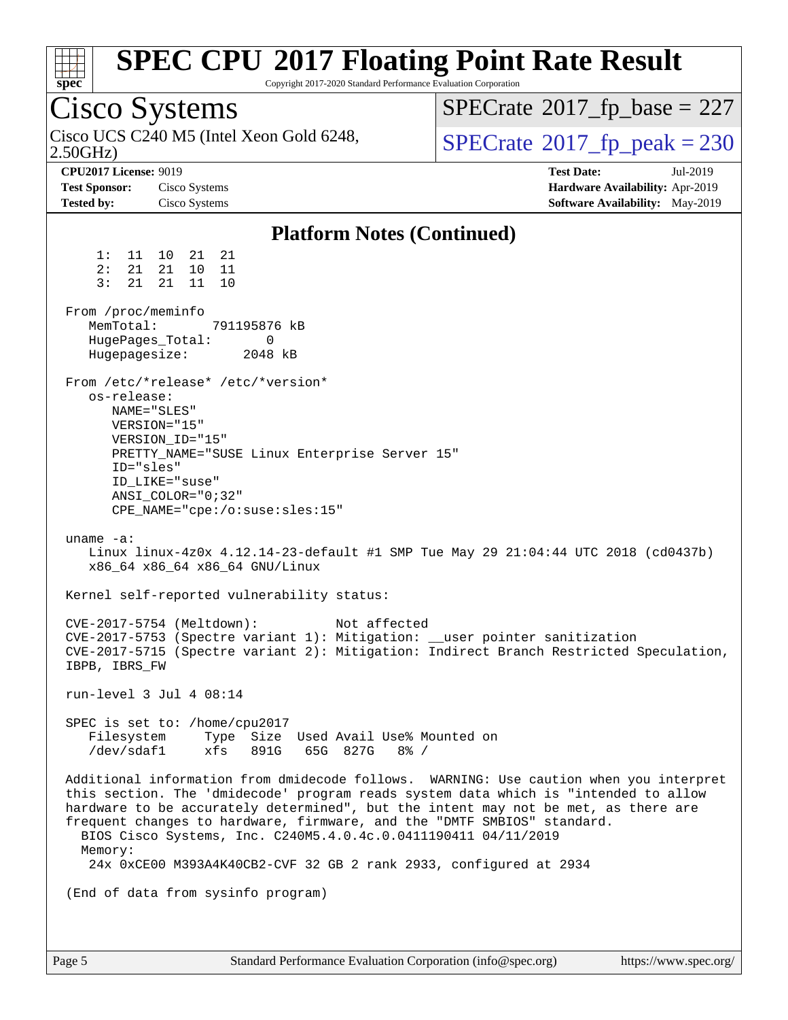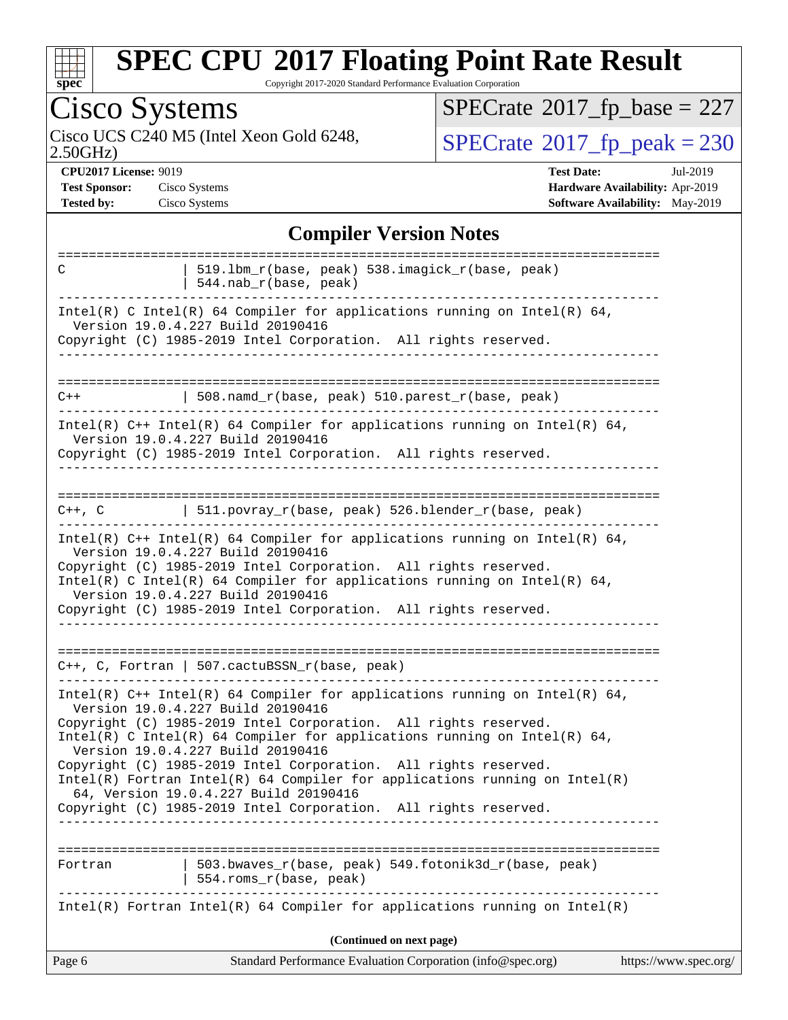

Copyright 2017-2020 Standard Performance Evaluation Corporation

| <b>Cisco Systems</b>                                                                                                                                                                                                                                                                                                                                                                                                                                                                                                                                                 | $SPECrate$ <sup>®</sup> 2017_fp_base = 227                                                          |
|----------------------------------------------------------------------------------------------------------------------------------------------------------------------------------------------------------------------------------------------------------------------------------------------------------------------------------------------------------------------------------------------------------------------------------------------------------------------------------------------------------------------------------------------------------------------|-----------------------------------------------------------------------------------------------------|
| Cisco UCS C240 M5 (Intel Xeon Gold 6248,<br>2.50GHz                                                                                                                                                                                                                                                                                                                                                                                                                                                                                                                  | $SPECTate@2017_fp\_peak = 230$                                                                      |
| <b>CPU2017 License: 9019</b><br><b>Test Sponsor:</b><br>Cisco Systems<br><b>Tested by:</b><br>Cisco Systems                                                                                                                                                                                                                                                                                                                                                                                                                                                          | <b>Test Date:</b><br>Jul-2019<br>Hardware Availability: Apr-2019<br>Software Availability: May-2019 |
| <b>Compiler Version Notes</b>                                                                                                                                                                                                                                                                                                                                                                                                                                                                                                                                        |                                                                                                     |
| 519.1bm_r(base, peak) 538.imagick_r(base, peak)<br>C<br>544.nab_r(base, peak)                                                                                                                                                                                                                                                                                                                                                                                                                                                                                        |                                                                                                     |
| Intel(R) C Intel(R) 64 Compiler for applications running on Intel(R) 64,<br>Version 19.0.4.227 Build 20190416<br>Copyright (C) 1985-2019 Intel Corporation. All rights reserved.                                                                                                                                                                                                                                                                                                                                                                                     |                                                                                                     |
| 508.namd_r(base, peak) 510.parest_r(base, peak)<br>$C++$                                                                                                                                                                                                                                                                                                                                                                                                                                                                                                             |                                                                                                     |
| Intel(R) $C++$ Intel(R) 64 Compiler for applications running on Intel(R) 64,<br>Version 19.0.4.227 Build 20190416<br>Copyright (C) 1985-2019 Intel Corporation. All rights reserved.                                                                                                                                                                                                                                                                                                                                                                                 |                                                                                                     |
| 511.povray_r(base, peak) 526.blender_r(base, peak)<br>$C++$ , $C$                                                                                                                                                                                                                                                                                                                                                                                                                                                                                                    |                                                                                                     |
| Intel(R) $C++$ Intel(R) 64 Compiler for applications running on Intel(R) 64,<br>Version 19.0.4.227 Build 20190416<br>Copyright (C) 1985-2019 Intel Corporation. All rights reserved.<br>Intel(R) C Intel(R) 64 Compiler for applications running on Intel(R) 64,<br>Version 19.0.4.227 Build 20190416<br>Copyright (C) 1985-2019 Intel Corporation. All rights reserved.                                                                                                                                                                                             |                                                                                                     |
| C++, C, Fortran   507.cactuBSSN_r(base, peak)                                                                                                                                                                                                                                                                                                                                                                                                                                                                                                                        |                                                                                                     |
| Intel(R) $C++$ Intel(R) 64 Compiler for applications running on Intel(R) 64,<br>Version 19.0.4.227 Build 20190416<br>Copyright (C) 1985-2019 Intel Corporation. All rights reserved.<br>Intel(R) C Intel(R) 64 Compiler for applications running on Intel(R) 64,<br>Version 19.0.4.227 Build 20190416<br>Copyright (C) 1985-2019 Intel Corporation. All rights reserved.<br>$Intel(R)$ Fortran Intel(R) 64 Compiler for applications running on Intel(R)<br>64, Version 19.0.4.227 Build 20190416<br>Copyright (C) 1985-2019 Intel Corporation. All rights reserved. |                                                                                                     |
| 503.bwaves_r(base, peak) 549.fotonik3d_r(base, peak)<br>Fortran<br>554.roms_r(base, peak)                                                                                                                                                                                                                                                                                                                                                                                                                                                                            |                                                                                                     |
| $Intel(R)$ Fortran Intel(R) 64 Compiler for applications running on Intel(R)                                                                                                                                                                                                                                                                                                                                                                                                                                                                                         |                                                                                                     |
| (Continued on next page)                                                                                                                                                                                                                                                                                                                                                                                                                                                                                                                                             |                                                                                                     |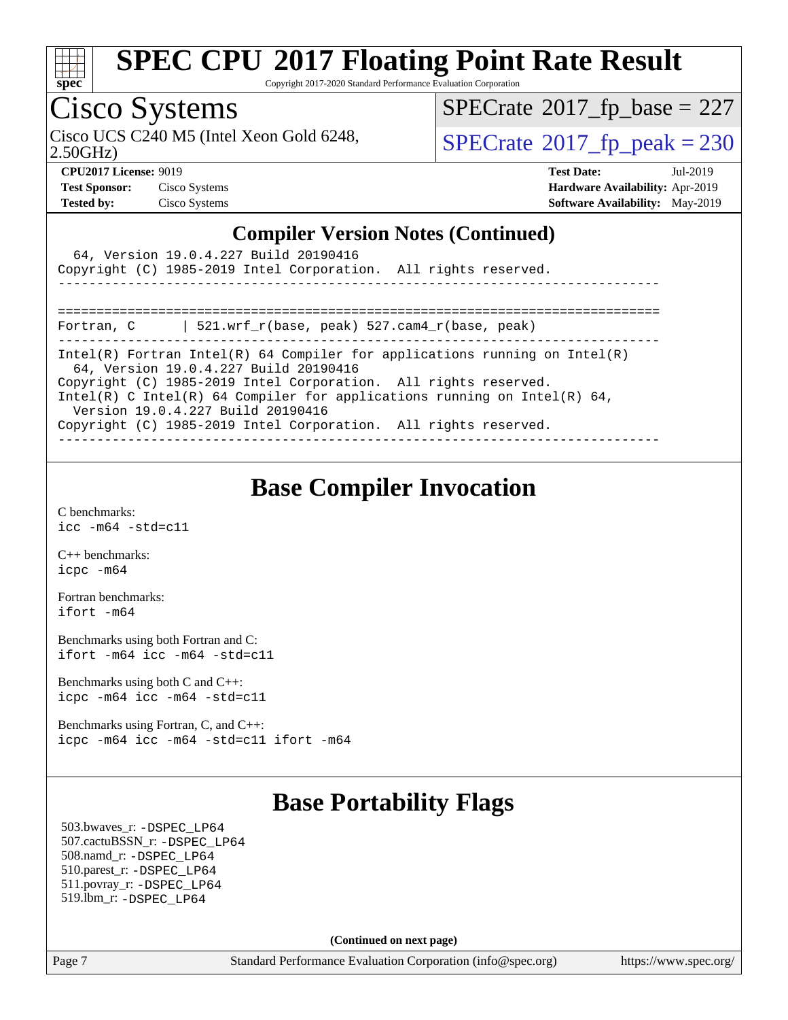

Copyright 2017-2020 Standard Performance Evaluation Corporation

### Cisco Systems

 $SPECTate$ <sup>®</sup>[2017\\_fp\\_base =](http://www.spec.org/auto/cpu2017/Docs/result-fields.html#SPECrate2017fpbase) 227

2.50GHz)

Cisco UCS C240 M5 (Intel Xeon Gold 6248,  $\begin{array}{|l|l|}\n\hline\n\text{SPECrate} @ 2017_fp\_peak = 230\n\end{array}$  $\begin{array}{|l|l|}\n\hline\n\text{SPECrate} @ 2017_fp\_peak = 230\n\end{array}$  $\begin{array}{|l|l|}\n\hline\n\text{SPECrate} @ 2017_fp\_peak = 230\n\end{array}$ 

**[CPU2017 License:](http://www.spec.org/auto/cpu2017/Docs/result-fields.html#CPU2017License)** 9019 **[Test Date:](http://www.spec.org/auto/cpu2017/Docs/result-fields.html#TestDate)** Jul-2019 **[Test Sponsor:](http://www.spec.org/auto/cpu2017/Docs/result-fields.html#TestSponsor)** Cisco Systems **[Hardware Availability:](http://www.spec.org/auto/cpu2017/Docs/result-fields.html#HardwareAvailability)** Apr-2019 **[Tested by:](http://www.spec.org/auto/cpu2017/Docs/result-fields.html#Testedby)** Cisco Systems **[Software Availability:](http://www.spec.org/auto/cpu2017/Docs/result-fields.html#SoftwareAvailability)** May-2019

#### **[Compiler Version Notes \(Continued\)](http://www.spec.org/auto/cpu2017/Docs/result-fields.html#CompilerVersionNotes)**

| 64, Version 19.0.4.227 Build 20190416<br>Copyright (C) 1985-2019 Intel Corporation. All rights reserved.                                                                                                                                                                                                                                                                   |
|----------------------------------------------------------------------------------------------------------------------------------------------------------------------------------------------------------------------------------------------------------------------------------------------------------------------------------------------------------------------------|
| 521.wrf $r(base, peak)$ 527.cam4 $r(base, peak)$<br>Fortran, C                                                                                                                                                                                                                                                                                                             |
| Intel(R) Fortran Intel(R) 64 Compiler for applications running on Intel(R)<br>64, Version 19.0.4.227 Build 20190416<br>Copyright (C) 1985-2019 Intel Corporation. All rights reserved.<br>Intel(R) C Intel(R) 64 Compiler for applications running on Intel(R) 64,<br>Version 19.0.4.227 Build 20190416<br>Copyright (C) 1985-2019 Intel Corporation. All rights reserved. |

### **[Base Compiler Invocation](http://www.spec.org/auto/cpu2017/Docs/result-fields.html#BaseCompilerInvocation)**

[C benchmarks](http://www.spec.org/auto/cpu2017/Docs/result-fields.html#Cbenchmarks): [icc -m64 -std=c11](http://www.spec.org/cpu2017/results/res2019q3/cpu2017-20190806-16739.flags.html#user_CCbase_intel_icc_64bit_c11_33ee0cdaae7deeeab2a9725423ba97205ce30f63b9926c2519791662299b76a0318f32ddfffdc46587804de3178b4f9328c46fa7c2b0cd779d7a61945c91cd35)

[C++ benchmarks:](http://www.spec.org/auto/cpu2017/Docs/result-fields.html#CXXbenchmarks) [icpc -m64](http://www.spec.org/cpu2017/results/res2019q3/cpu2017-20190806-16739.flags.html#user_CXXbase_intel_icpc_64bit_4ecb2543ae3f1412ef961e0650ca070fec7b7afdcd6ed48761b84423119d1bf6bdf5cad15b44d48e7256388bc77273b966e5eb805aefd121eb22e9299b2ec9d9)

[Fortran benchmarks](http://www.spec.org/auto/cpu2017/Docs/result-fields.html#Fortranbenchmarks): [ifort -m64](http://www.spec.org/cpu2017/results/res2019q3/cpu2017-20190806-16739.flags.html#user_FCbase_intel_ifort_64bit_24f2bb282fbaeffd6157abe4f878425411749daecae9a33200eee2bee2fe76f3b89351d69a8130dd5949958ce389cf37ff59a95e7a40d588e8d3a57e0c3fd751)

[Benchmarks using both Fortran and C](http://www.spec.org/auto/cpu2017/Docs/result-fields.html#BenchmarksusingbothFortranandC): [ifort -m64](http://www.spec.org/cpu2017/results/res2019q3/cpu2017-20190806-16739.flags.html#user_CC_FCbase_intel_ifort_64bit_24f2bb282fbaeffd6157abe4f878425411749daecae9a33200eee2bee2fe76f3b89351d69a8130dd5949958ce389cf37ff59a95e7a40d588e8d3a57e0c3fd751) [icc -m64 -std=c11](http://www.spec.org/cpu2017/results/res2019q3/cpu2017-20190806-16739.flags.html#user_CC_FCbase_intel_icc_64bit_c11_33ee0cdaae7deeeab2a9725423ba97205ce30f63b9926c2519791662299b76a0318f32ddfffdc46587804de3178b4f9328c46fa7c2b0cd779d7a61945c91cd35)

[Benchmarks using both C and C++](http://www.spec.org/auto/cpu2017/Docs/result-fields.html#BenchmarksusingbothCandCXX): [icpc -m64](http://www.spec.org/cpu2017/results/res2019q3/cpu2017-20190806-16739.flags.html#user_CC_CXXbase_intel_icpc_64bit_4ecb2543ae3f1412ef961e0650ca070fec7b7afdcd6ed48761b84423119d1bf6bdf5cad15b44d48e7256388bc77273b966e5eb805aefd121eb22e9299b2ec9d9) [icc -m64 -std=c11](http://www.spec.org/cpu2017/results/res2019q3/cpu2017-20190806-16739.flags.html#user_CC_CXXbase_intel_icc_64bit_c11_33ee0cdaae7deeeab2a9725423ba97205ce30f63b9926c2519791662299b76a0318f32ddfffdc46587804de3178b4f9328c46fa7c2b0cd779d7a61945c91cd35)

[Benchmarks using Fortran, C, and C++:](http://www.spec.org/auto/cpu2017/Docs/result-fields.html#BenchmarksusingFortranCandCXX) [icpc -m64](http://www.spec.org/cpu2017/results/res2019q3/cpu2017-20190806-16739.flags.html#user_CC_CXX_FCbase_intel_icpc_64bit_4ecb2543ae3f1412ef961e0650ca070fec7b7afdcd6ed48761b84423119d1bf6bdf5cad15b44d48e7256388bc77273b966e5eb805aefd121eb22e9299b2ec9d9) [icc -m64 -std=c11](http://www.spec.org/cpu2017/results/res2019q3/cpu2017-20190806-16739.flags.html#user_CC_CXX_FCbase_intel_icc_64bit_c11_33ee0cdaae7deeeab2a9725423ba97205ce30f63b9926c2519791662299b76a0318f32ddfffdc46587804de3178b4f9328c46fa7c2b0cd779d7a61945c91cd35) [ifort -m64](http://www.spec.org/cpu2017/results/res2019q3/cpu2017-20190806-16739.flags.html#user_CC_CXX_FCbase_intel_ifort_64bit_24f2bb282fbaeffd6157abe4f878425411749daecae9a33200eee2bee2fe76f3b89351d69a8130dd5949958ce389cf37ff59a95e7a40d588e8d3a57e0c3fd751)

### **[Base Portability Flags](http://www.spec.org/auto/cpu2017/Docs/result-fields.html#BasePortabilityFlags)**

 503.bwaves\_r: [-DSPEC\\_LP64](http://www.spec.org/cpu2017/results/res2019q3/cpu2017-20190806-16739.flags.html#suite_basePORTABILITY503_bwaves_r_DSPEC_LP64) 507.cactuBSSN\_r: [-DSPEC\\_LP64](http://www.spec.org/cpu2017/results/res2019q3/cpu2017-20190806-16739.flags.html#suite_basePORTABILITY507_cactuBSSN_r_DSPEC_LP64) 508.namd\_r: [-DSPEC\\_LP64](http://www.spec.org/cpu2017/results/res2019q3/cpu2017-20190806-16739.flags.html#suite_basePORTABILITY508_namd_r_DSPEC_LP64) 510.parest\_r: [-DSPEC\\_LP64](http://www.spec.org/cpu2017/results/res2019q3/cpu2017-20190806-16739.flags.html#suite_basePORTABILITY510_parest_r_DSPEC_LP64) 511.povray\_r: [-DSPEC\\_LP64](http://www.spec.org/cpu2017/results/res2019q3/cpu2017-20190806-16739.flags.html#suite_basePORTABILITY511_povray_r_DSPEC_LP64) 519.lbm\_r: [-DSPEC\\_LP64](http://www.spec.org/cpu2017/results/res2019q3/cpu2017-20190806-16739.flags.html#suite_basePORTABILITY519_lbm_r_DSPEC_LP64)

**(Continued on next page)**

Page 7 Standard Performance Evaluation Corporation [\(info@spec.org\)](mailto:info@spec.org) <https://www.spec.org/>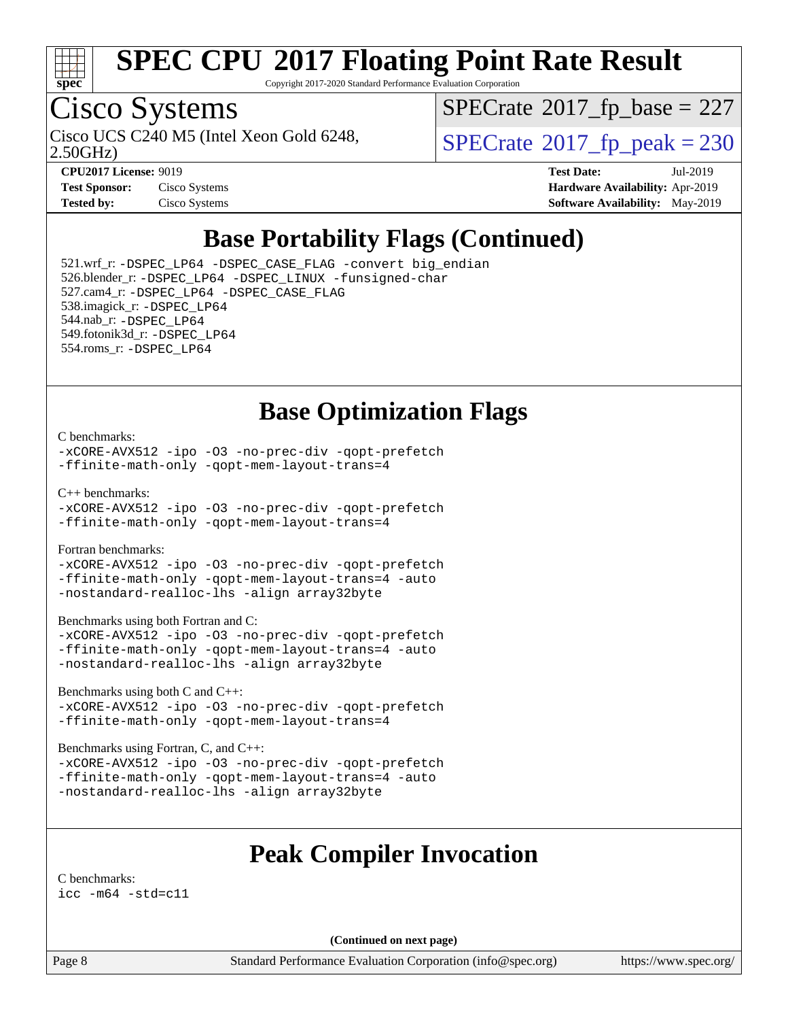

Copyright 2017-2020 Standard Performance Evaluation Corporation

# Cisco Systems

2.50GHz)

 $SPECTate$ <sup>®</sup>[2017\\_fp\\_base =](http://www.spec.org/auto/cpu2017/Docs/result-fields.html#SPECrate2017fpbase) 227

Cisco UCS C240 M5 (Intel Xeon Gold 6248,  $\vert$ [SPECrate](http://www.spec.org/auto/cpu2017/Docs/result-fields.html#SPECrate2017fppeak)®[2017\\_fp\\_peak = 2](http://www.spec.org/auto/cpu2017/Docs/result-fields.html#SPECrate2017fppeak)30

| <b>Test Sponsor:</b> | Cisco Systems |
|----------------------|---------------|
| <b>Tested by:</b>    | Cisco Systems |

**[CPU2017 License:](http://www.spec.org/auto/cpu2017/Docs/result-fields.html#CPU2017License)** 9019 **[Test Date:](http://www.spec.org/auto/cpu2017/Docs/result-fields.html#TestDate)** Jul-2019 **[Hardware Availability:](http://www.spec.org/auto/cpu2017/Docs/result-fields.html#HardwareAvailability)** Apr-2019 **[Software Availability:](http://www.spec.org/auto/cpu2017/Docs/result-fields.html#SoftwareAvailability)** May-2019

### **[Base Portability Flags \(Continued\)](http://www.spec.org/auto/cpu2017/Docs/result-fields.html#BasePortabilityFlags)**

 521.wrf\_r: [-DSPEC\\_LP64](http://www.spec.org/cpu2017/results/res2019q3/cpu2017-20190806-16739.flags.html#suite_basePORTABILITY521_wrf_r_DSPEC_LP64) [-DSPEC\\_CASE\\_FLAG](http://www.spec.org/cpu2017/results/res2019q3/cpu2017-20190806-16739.flags.html#b521.wrf_r_baseCPORTABILITY_DSPEC_CASE_FLAG) [-convert big\\_endian](http://www.spec.org/cpu2017/results/res2019q3/cpu2017-20190806-16739.flags.html#user_baseFPORTABILITY521_wrf_r_convert_big_endian_c3194028bc08c63ac5d04de18c48ce6d347e4e562e8892b8bdbdc0214820426deb8554edfa529a3fb25a586e65a3d812c835984020483e7e73212c4d31a38223) 526.blender\_r: [-DSPEC\\_LP64](http://www.spec.org/cpu2017/results/res2019q3/cpu2017-20190806-16739.flags.html#suite_basePORTABILITY526_blender_r_DSPEC_LP64) [-DSPEC\\_LINUX](http://www.spec.org/cpu2017/results/res2019q3/cpu2017-20190806-16739.flags.html#b526.blender_r_baseCPORTABILITY_DSPEC_LINUX) [-funsigned-char](http://www.spec.org/cpu2017/results/res2019q3/cpu2017-20190806-16739.flags.html#user_baseCPORTABILITY526_blender_r_force_uchar_40c60f00ab013830e2dd6774aeded3ff59883ba5a1fc5fc14077f794d777847726e2a5858cbc7672e36e1b067e7e5c1d9a74f7176df07886a243d7cc18edfe67) 527.cam4\_r: [-DSPEC\\_LP64](http://www.spec.org/cpu2017/results/res2019q3/cpu2017-20190806-16739.flags.html#suite_basePORTABILITY527_cam4_r_DSPEC_LP64) [-DSPEC\\_CASE\\_FLAG](http://www.spec.org/cpu2017/results/res2019q3/cpu2017-20190806-16739.flags.html#b527.cam4_r_baseCPORTABILITY_DSPEC_CASE_FLAG) 538.imagick\_r: [-DSPEC\\_LP64](http://www.spec.org/cpu2017/results/res2019q3/cpu2017-20190806-16739.flags.html#suite_basePORTABILITY538_imagick_r_DSPEC_LP64) 544.nab\_r: [-DSPEC\\_LP64](http://www.spec.org/cpu2017/results/res2019q3/cpu2017-20190806-16739.flags.html#suite_basePORTABILITY544_nab_r_DSPEC_LP64) 549.fotonik3d\_r: [-DSPEC\\_LP64](http://www.spec.org/cpu2017/results/res2019q3/cpu2017-20190806-16739.flags.html#suite_basePORTABILITY549_fotonik3d_r_DSPEC_LP64) 554.roms\_r: [-DSPEC\\_LP64](http://www.spec.org/cpu2017/results/res2019q3/cpu2017-20190806-16739.flags.html#suite_basePORTABILITY554_roms_r_DSPEC_LP64)

#### **[Base Optimization Flags](http://www.spec.org/auto/cpu2017/Docs/result-fields.html#BaseOptimizationFlags)**

#### [C benchmarks](http://www.spec.org/auto/cpu2017/Docs/result-fields.html#Cbenchmarks):

[-xCORE-AVX512](http://www.spec.org/cpu2017/results/res2019q3/cpu2017-20190806-16739.flags.html#user_CCbase_f-xCORE-AVX512) [-ipo](http://www.spec.org/cpu2017/results/res2019q3/cpu2017-20190806-16739.flags.html#user_CCbase_f-ipo) [-O3](http://www.spec.org/cpu2017/results/res2019q3/cpu2017-20190806-16739.flags.html#user_CCbase_f-O3) [-no-prec-div](http://www.spec.org/cpu2017/results/res2019q3/cpu2017-20190806-16739.flags.html#user_CCbase_f-no-prec-div) [-qopt-prefetch](http://www.spec.org/cpu2017/results/res2019q3/cpu2017-20190806-16739.flags.html#user_CCbase_f-qopt-prefetch) [-ffinite-math-only](http://www.spec.org/cpu2017/results/res2019q3/cpu2017-20190806-16739.flags.html#user_CCbase_f_finite_math_only_cb91587bd2077682c4b38af759c288ed7c732db004271a9512da14a4f8007909a5f1427ecbf1a0fb78ff2a814402c6114ac565ca162485bbcae155b5e4258871) [-qopt-mem-layout-trans=4](http://www.spec.org/cpu2017/results/res2019q3/cpu2017-20190806-16739.flags.html#user_CCbase_f-qopt-mem-layout-trans_fa39e755916c150a61361b7846f310bcdf6f04e385ef281cadf3647acec3f0ae266d1a1d22d972a7087a248fd4e6ca390a3634700869573d231a252c784941a8)

[C++ benchmarks:](http://www.spec.org/auto/cpu2017/Docs/result-fields.html#CXXbenchmarks)

[-xCORE-AVX512](http://www.spec.org/cpu2017/results/res2019q3/cpu2017-20190806-16739.flags.html#user_CXXbase_f-xCORE-AVX512) [-ipo](http://www.spec.org/cpu2017/results/res2019q3/cpu2017-20190806-16739.flags.html#user_CXXbase_f-ipo) [-O3](http://www.spec.org/cpu2017/results/res2019q3/cpu2017-20190806-16739.flags.html#user_CXXbase_f-O3) [-no-prec-div](http://www.spec.org/cpu2017/results/res2019q3/cpu2017-20190806-16739.flags.html#user_CXXbase_f-no-prec-div) [-qopt-prefetch](http://www.spec.org/cpu2017/results/res2019q3/cpu2017-20190806-16739.flags.html#user_CXXbase_f-qopt-prefetch) [-ffinite-math-only](http://www.spec.org/cpu2017/results/res2019q3/cpu2017-20190806-16739.flags.html#user_CXXbase_f_finite_math_only_cb91587bd2077682c4b38af759c288ed7c732db004271a9512da14a4f8007909a5f1427ecbf1a0fb78ff2a814402c6114ac565ca162485bbcae155b5e4258871) [-qopt-mem-layout-trans=4](http://www.spec.org/cpu2017/results/res2019q3/cpu2017-20190806-16739.flags.html#user_CXXbase_f-qopt-mem-layout-trans_fa39e755916c150a61361b7846f310bcdf6f04e385ef281cadf3647acec3f0ae266d1a1d22d972a7087a248fd4e6ca390a3634700869573d231a252c784941a8)

[Fortran benchmarks](http://www.spec.org/auto/cpu2017/Docs/result-fields.html#Fortranbenchmarks):

[-xCORE-AVX512](http://www.spec.org/cpu2017/results/res2019q3/cpu2017-20190806-16739.flags.html#user_FCbase_f-xCORE-AVX512) [-ipo](http://www.spec.org/cpu2017/results/res2019q3/cpu2017-20190806-16739.flags.html#user_FCbase_f-ipo) [-O3](http://www.spec.org/cpu2017/results/res2019q3/cpu2017-20190806-16739.flags.html#user_FCbase_f-O3) [-no-prec-div](http://www.spec.org/cpu2017/results/res2019q3/cpu2017-20190806-16739.flags.html#user_FCbase_f-no-prec-div) [-qopt-prefetch](http://www.spec.org/cpu2017/results/res2019q3/cpu2017-20190806-16739.flags.html#user_FCbase_f-qopt-prefetch) [-ffinite-math-only](http://www.spec.org/cpu2017/results/res2019q3/cpu2017-20190806-16739.flags.html#user_FCbase_f_finite_math_only_cb91587bd2077682c4b38af759c288ed7c732db004271a9512da14a4f8007909a5f1427ecbf1a0fb78ff2a814402c6114ac565ca162485bbcae155b5e4258871) [-qopt-mem-layout-trans=4](http://www.spec.org/cpu2017/results/res2019q3/cpu2017-20190806-16739.flags.html#user_FCbase_f-qopt-mem-layout-trans_fa39e755916c150a61361b7846f310bcdf6f04e385ef281cadf3647acec3f0ae266d1a1d22d972a7087a248fd4e6ca390a3634700869573d231a252c784941a8) [-auto](http://www.spec.org/cpu2017/results/res2019q3/cpu2017-20190806-16739.flags.html#user_FCbase_f-auto) [-nostandard-realloc-lhs](http://www.spec.org/cpu2017/results/res2019q3/cpu2017-20190806-16739.flags.html#user_FCbase_f_2003_std_realloc_82b4557e90729c0f113870c07e44d33d6f5a304b4f63d4c15d2d0f1fab99f5daaed73bdb9275d9ae411527f28b936061aa8b9c8f2d63842963b95c9dd6426b8a) [-align array32byte](http://www.spec.org/cpu2017/results/res2019q3/cpu2017-20190806-16739.flags.html#user_FCbase_align_array32byte_b982fe038af199962ba9a80c053b8342c548c85b40b8e86eb3cc33dee0d7986a4af373ac2d51c3f7cf710a18d62fdce2948f201cd044323541f22fc0fffc51b6)

[Benchmarks using both Fortran and C](http://www.spec.org/auto/cpu2017/Docs/result-fields.html#BenchmarksusingbothFortranandC):

[-xCORE-AVX512](http://www.spec.org/cpu2017/results/res2019q3/cpu2017-20190806-16739.flags.html#user_CC_FCbase_f-xCORE-AVX512) [-ipo](http://www.spec.org/cpu2017/results/res2019q3/cpu2017-20190806-16739.flags.html#user_CC_FCbase_f-ipo) [-O3](http://www.spec.org/cpu2017/results/res2019q3/cpu2017-20190806-16739.flags.html#user_CC_FCbase_f-O3) [-no-prec-div](http://www.spec.org/cpu2017/results/res2019q3/cpu2017-20190806-16739.flags.html#user_CC_FCbase_f-no-prec-div) [-qopt-prefetch](http://www.spec.org/cpu2017/results/res2019q3/cpu2017-20190806-16739.flags.html#user_CC_FCbase_f-qopt-prefetch) [-ffinite-math-only](http://www.spec.org/cpu2017/results/res2019q3/cpu2017-20190806-16739.flags.html#user_CC_FCbase_f_finite_math_only_cb91587bd2077682c4b38af759c288ed7c732db004271a9512da14a4f8007909a5f1427ecbf1a0fb78ff2a814402c6114ac565ca162485bbcae155b5e4258871) [-qopt-mem-layout-trans=4](http://www.spec.org/cpu2017/results/res2019q3/cpu2017-20190806-16739.flags.html#user_CC_FCbase_f-qopt-mem-layout-trans_fa39e755916c150a61361b7846f310bcdf6f04e385ef281cadf3647acec3f0ae266d1a1d22d972a7087a248fd4e6ca390a3634700869573d231a252c784941a8) [-auto](http://www.spec.org/cpu2017/results/res2019q3/cpu2017-20190806-16739.flags.html#user_CC_FCbase_f-auto) [-nostandard-realloc-lhs](http://www.spec.org/cpu2017/results/res2019q3/cpu2017-20190806-16739.flags.html#user_CC_FCbase_f_2003_std_realloc_82b4557e90729c0f113870c07e44d33d6f5a304b4f63d4c15d2d0f1fab99f5daaed73bdb9275d9ae411527f28b936061aa8b9c8f2d63842963b95c9dd6426b8a) [-align array32byte](http://www.spec.org/cpu2017/results/res2019q3/cpu2017-20190806-16739.flags.html#user_CC_FCbase_align_array32byte_b982fe038af199962ba9a80c053b8342c548c85b40b8e86eb3cc33dee0d7986a4af373ac2d51c3f7cf710a18d62fdce2948f201cd044323541f22fc0fffc51b6)

[Benchmarks using both C and C++](http://www.spec.org/auto/cpu2017/Docs/result-fields.html#BenchmarksusingbothCandCXX):

[-xCORE-AVX512](http://www.spec.org/cpu2017/results/res2019q3/cpu2017-20190806-16739.flags.html#user_CC_CXXbase_f-xCORE-AVX512) [-ipo](http://www.spec.org/cpu2017/results/res2019q3/cpu2017-20190806-16739.flags.html#user_CC_CXXbase_f-ipo) [-O3](http://www.spec.org/cpu2017/results/res2019q3/cpu2017-20190806-16739.flags.html#user_CC_CXXbase_f-O3) [-no-prec-div](http://www.spec.org/cpu2017/results/res2019q3/cpu2017-20190806-16739.flags.html#user_CC_CXXbase_f-no-prec-div) [-qopt-prefetch](http://www.spec.org/cpu2017/results/res2019q3/cpu2017-20190806-16739.flags.html#user_CC_CXXbase_f-qopt-prefetch) [-ffinite-math-only](http://www.spec.org/cpu2017/results/res2019q3/cpu2017-20190806-16739.flags.html#user_CC_CXXbase_f_finite_math_only_cb91587bd2077682c4b38af759c288ed7c732db004271a9512da14a4f8007909a5f1427ecbf1a0fb78ff2a814402c6114ac565ca162485bbcae155b5e4258871) [-qopt-mem-layout-trans=4](http://www.spec.org/cpu2017/results/res2019q3/cpu2017-20190806-16739.flags.html#user_CC_CXXbase_f-qopt-mem-layout-trans_fa39e755916c150a61361b7846f310bcdf6f04e385ef281cadf3647acec3f0ae266d1a1d22d972a7087a248fd4e6ca390a3634700869573d231a252c784941a8)

[Benchmarks using Fortran, C, and C++:](http://www.spec.org/auto/cpu2017/Docs/result-fields.html#BenchmarksusingFortranCandCXX)

[-xCORE-AVX512](http://www.spec.org/cpu2017/results/res2019q3/cpu2017-20190806-16739.flags.html#user_CC_CXX_FCbase_f-xCORE-AVX512) [-ipo](http://www.spec.org/cpu2017/results/res2019q3/cpu2017-20190806-16739.flags.html#user_CC_CXX_FCbase_f-ipo) [-O3](http://www.spec.org/cpu2017/results/res2019q3/cpu2017-20190806-16739.flags.html#user_CC_CXX_FCbase_f-O3) [-no-prec-div](http://www.spec.org/cpu2017/results/res2019q3/cpu2017-20190806-16739.flags.html#user_CC_CXX_FCbase_f-no-prec-div) [-qopt-prefetch](http://www.spec.org/cpu2017/results/res2019q3/cpu2017-20190806-16739.flags.html#user_CC_CXX_FCbase_f-qopt-prefetch) [-ffinite-math-only](http://www.spec.org/cpu2017/results/res2019q3/cpu2017-20190806-16739.flags.html#user_CC_CXX_FCbase_f_finite_math_only_cb91587bd2077682c4b38af759c288ed7c732db004271a9512da14a4f8007909a5f1427ecbf1a0fb78ff2a814402c6114ac565ca162485bbcae155b5e4258871) [-qopt-mem-layout-trans=4](http://www.spec.org/cpu2017/results/res2019q3/cpu2017-20190806-16739.flags.html#user_CC_CXX_FCbase_f-qopt-mem-layout-trans_fa39e755916c150a61361b7846f310bcdf6f04e385ef281cadf3647acec3f0ae266d1a1d22d972a7087a248fd4e6ca390a3634700869573d231a252c784941a8) [-auto](http://www.spec.org/cpu2017/results/res2019q3/cpu2017-20190806-16739.flags.html#user_CC_CXX_FCbase_f-auto) [-nostandard-realloc-lhs](http://www.spec.org/cpu2017/results/res2019q3/cpu2017-20190806-16739.flags.html#user_CC_CXX_FCbase_f_2003_std_realloc_82b4557e90729c0f113870c07e44d33d6f5a304b4f63d4c15d2d0f1fab99f5daaed73bdb9275d9ae411527f28b936061aa8b9c8f2d63842963b95c9dd6426b8a) [-align array32byte](http://www.spec.org/cpu2017/results/res2019q3/cpu2017-20190806-16739.flags.html#user_CC_CXX_FCbase_align_array32byte_b982fe038af199962ba9a80c053b8342c548c85b40b8e86eb3cc33dee0d7986a4af373ac2d51c3f7cf710a18d62fdce2948f201cd044323541f22fc0fffc51b6)

#### **[Peak Compiler Invocation](http://www.spec.org/auto/cpu2017/Docs/result-fields.html#PeakCompilerInvocation)**

[C benchmarks](http://www.spec.org/auto/cpu2017/Docs/result-fields.html#Cbenchmarks): [icc -m64 -std=c11](http://www.spec.org/cpu2017/results/res2019q3/cpu2017-20190806-16739.flags.html#user_CCpeak_intel_icc_64bit_c11_33ee0cdaae7deeeab2a9725423ba97205ce30f63b9926c2519791662299b76a0318f32ddfffdc46587804de3178b4f9328c46fa7c2b0cd779d7a61945c91cd35)

**(Continued on next page)**

Page 8 Standard Performance Evaluation Corporation [\(info@spec.org\)](mailto:info@spec.org) <https://www.spec.org/>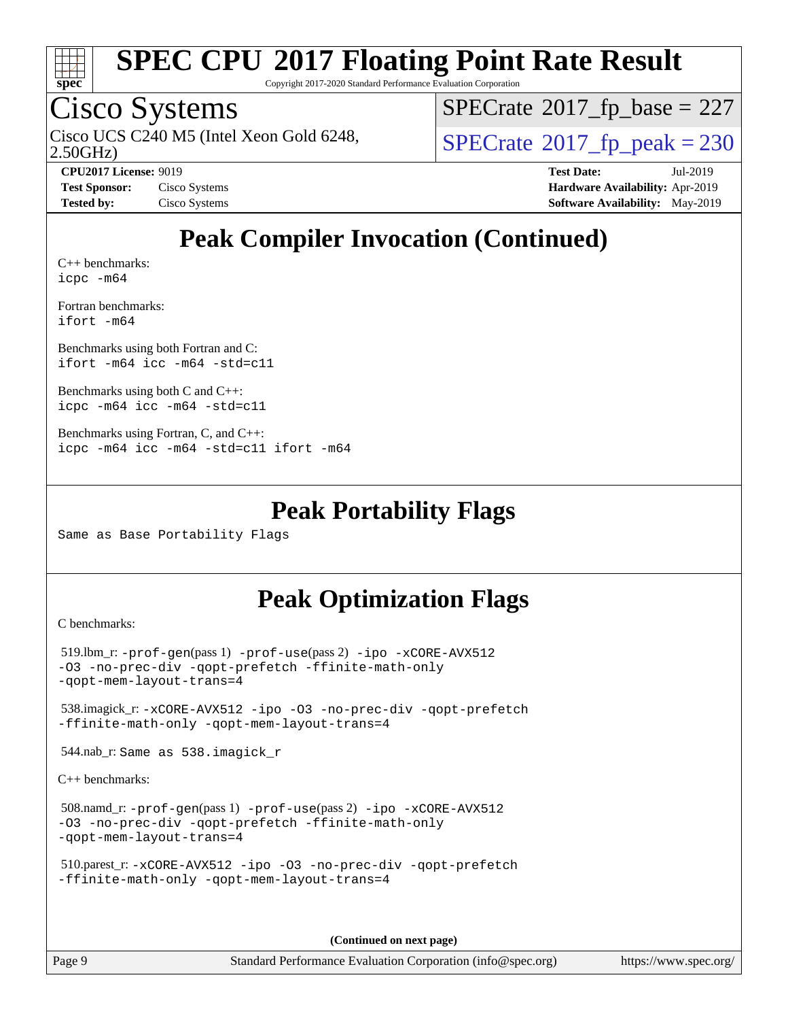

Copyright 2017-2020 Standard Performance Evaluation Corporation

### Cisco Systems

2.50GHz) Cisco UCS C240 M5 (Intel Xeon Gold 6248,  $\vert$ [SPECrate](http://www.spec.org/auto/cpu2017/Docs/result-fields.html#SPECrate2017fppeak)®[2017\\_fp\\_peak = 2](http://www.spec.org/auto/cpu2017/Docs/result-fields.html#SPECrate2017fppeak)30

 $SPECTate$ <sup>®</sup>[2017\\_fp\\_base =](http://www.spec.org/auto/cpu2017/Docs/result-fields.html#SPECrate2017fpbase) 227

**[CPU2017 License:](http://www.spec.org/auto/cpu2017/Docs/result-fields.html#CPU2017License)** 9019 **[Test Date:](http://www.spec.org/auto/cpu2017/Docs/result-fields.html#TestDate)** Jul-2019 **[Test Sponsor:](http://www.spec.org/auto/cpu2017/Docs/result-fields.html#TestSponsor)** Cisco Systems **[Hardware Availability:](http://www.spec.org/auto/cpu2017/Docs/result-fields.html#HardwareAvailability)** Apr-2019 **[Tested by:](http://www.spec.org/auto/cpu2017/Docs/result-fields.html#Testedby)** Cisco Systems **[Software Availability:](http://www.spec.org/auto/cpu2017/Docs/result-fields.html#SoftwareAvailability)** May-2019

### **[Peak Compiler Invocation \(Continued\)](http://www.spec.org/auto/cpu2017/Docs/result-fields.html#PeakCompilerInvocation)**

[C++ benchmarks:](http://www.spec.org/auto/cpu2017/Docs/result-fields.html#CXXbenchmarks) [icpc -m64](http://www.spec.org/cpu2017/results/res2019q3/cpu2017-20190806-16739.flags.html#user_CXXpeak_intel_icpc_64bit_4ecb2543ae3f1412ef961e0650ca070fec7b7afdcd6ed48761b84423119d1bf6bdf5cad15b44d48e7256388bc77273b966e5eb805aefd121eb22e9299b2ec9d9)

[Fortran benchmarks](http://www.spec.org/auto/cpu2017/Docs/result-fields.html#Fortranbenchmarks): [ifort -m64](http://www.spec.org/cpu2017/results/res2019q3/cpu2017-20190806-16739.flags.html#user_FCpeak_intel_ifort_64bit_24f2bb282fbaeffd6157abe4f878425411749daecae9a33200eee2bee2fe76f3b89351d69a8130dd5949958ce389cf37ff59a95e7a40d588e8d3a57e0c3fd751)

[Benchmarks using both Fortran and C](http://www.spec.org/auto/cpu2017/Docs/result-fields.html#BenchmarksusingbothFortranandC): [ifort -m64](http://www.spec.org/cpu2017/results/res2019q3/cpu2017-20190806-16739.flags.html#user_CC_FCpeak_intel_ifort_64bit_24f2bb282fbaeffd6157abe4f878425411749daecae9a33200eee2bee2fe76f3b89351d69a8130dd5949958ce389cf37ff59a95e7a40d588e8d3a57e0c3fd751) [icc -m64 -std=c11](http://www.spec.org/cpu2017/results/res2019q3/cpu2017-20190806-16739.flags.html#user_CC_FCpeak_intel_icc_64bit_c11_33ee0cdaae7deeeab2a9725423ba97205ce30f63b9926c2519791662299b76a0318f32ddfffdc46587804de3178b4f9328c46fa7c2b0cd779d7a61945c91cd35)

[Benchmarks using both C and C++](http://www.spec.org/auto/cpu2017/Docs/result-fields.html#BenchmarksusingbothCandCXX): [icpc -m64](http://www.spec.org/cpu2017/results/res2019q3/cpu2017-20190806-16739.flags.html#user_CC_CXXpeak_intel_icpc_64bit_4ecb2543ae3f1412ef961e0650ca070fec7b7afdcd6ed48761b84423119d1bf6bdf5cad15b44d48e7256388bc77273b966e5eb805aefd121eb22e9299b2ec9d9) [icc -m64 -std=c11](http://www.spec.org/cpu2017/results/res2019q3/cpu2017-20190806-16739.flags.html#user_CC_CXXpeak_intel_icc_64bit_c11_33ee0cdaae7deeeab2a9725423ba97205ce30f63b9926c2519791662299b76a0318f32ddfffdc46587804de3178b4f9328c46fa7c2b0cd779d7a61945c91cd35)

```
Benchmarks using Fortran, C, and C++: 
icpc -m64 icc -m64 -std=c11 ifort -m64
```
#### **[Peak Portability Flags](http://www.spec.org/auto/cpu2017/Docs/result-fields.html#PeakPortabilityFlags)**

Same as Base Portability Flags

### **[Peak Optimization Flags](http://www.spec.org/auto/cpu2017/Docs/result-fields.html#PeakOptimizationFlags)**

[C benchmarks](http://www.spec.org/auto/cpu2017/Docs/result-fields.html#Cbenchmarks):

```
 519.lbm_r: -prof-gen(pass 1) -prof-use(pass 2) -ipo -xCORE-AVX512
-O3 -no-prec-div -qopt-prefetch -ffinite-math-only
-qopt-mem-layout-trans=4
 538.imagick_r: -xCORE-AVX512 -ipo -O3 -no-prec-div -qopt-prefetch
-ffinite-math-only -qopt-mem-layout-trans=4
 544.nab_r: Same as 538.imagick_r
C++ benchmarks: 
 508.namd_r: -prof-gen(pass 1) -prof-use(pass 2) -ipo -xCORE-AVX512
```

```
-O3 -no-prec-div -qopt-prefetch -ffinite-math-only
-qopt-mem-layout-trans=4
```

```
 510.parest_r: -xCORE-AVX512 -ipo -O3 -no-prec-div -qopt-prefetch
-ffinite-math-only -qopt-mem-layout-trans=4
```
**(Continued on next page)**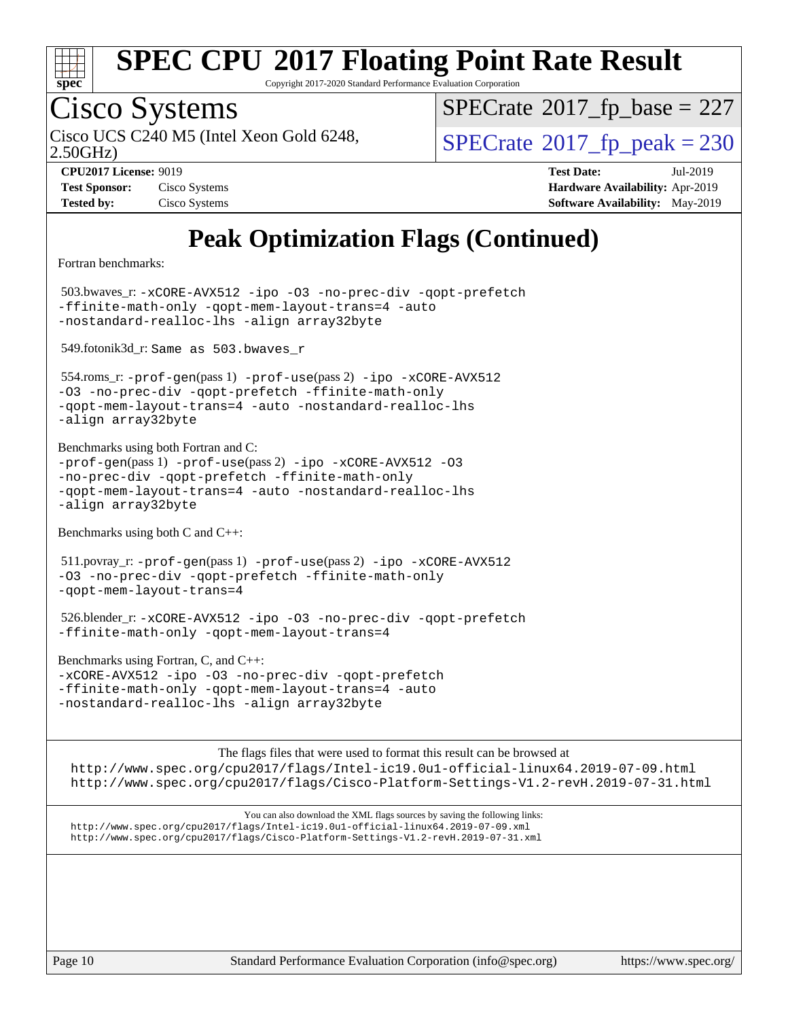

Copyright 2017-2020 Standard Performance Evaluation Corporation

# Cisco Systems

2.50GHz) Cisco UCS C240 M5 (Intel Xeon Gold 6248,  $\vert$ [SPECrate](http://www.spec.org/auto/cpu2017/Docs/result-fields.html#SPECrate2017fppeak)®[2017\\_fp\\_peak = 2](http://www.spec.org/auto/cpu2017/Docs/result-fields.html#SPECrate2017fppeak)30

 $SPECTate$ <sup>®</sup>[2017\\_fp\\_base =](http://www.spec.org/auto/cpu2017/Docs/result-fields.html#SPECrate2017fpbase) 227

| <b>Test Sponsor:</b> | Cisco Systems |
|----------------------|---------------|
| <b>Tested by:</b>    | Cisco Systems |

**[CPU2017 License:](http://www.spec.org/auto/cpu2017/Docs/result-fields.html#CPU2017License)** 9019 **[Test Date:](http://www.spec.org/auto/cpu2017/Docs/result-fields.html#TestDate)** Jul-2019 **[Hardware Availability:](http://www.spec.org/auto/cpu2017/Docs/result-fields.html#HardwareAvailability)** Apr-2019 **[Software Availability:](http://www.spec.org/auto/cpu2017/Docs/result-fields.html#SoftwareAvailability)** May-2019

### **[Peak Optimization Flags \(Continued\)](http://www.spec.org/auto/cpu2017/Docs/result-fields.html#PeakOptimizationFlags)**

[Fortran benchmarks](http://www.spec.org/auto/cpu2017/Docs/result-fields.html#Fortranbenchmarks):

 503.bwaves\_r: [-xCORE-AVX512](http://www.spec.org/cpu2017/results/res2019q3/cpu2017-20190806-16739.flags.html#user_peakFOPTIMIZE503_bwaves_r_f-xCORE-AVX512) [-ipo](http://www.spec.org/cpu2017/results/res2019q3/cpu2017-20190806-16739.flags.html#user_peakFOPTIMIZE503_bwaves_r_f-ipo) [-O3](http://www.spec.org/cpu2017/results/res2019q3/cpu2017-20190806-16739.flags.html#user_peakFOPTIMIZE503_bwaves_r_f-O3) [-no-prec-div](http://www.spec.org/cpu2017/results/res2019q3/cpu2017-20190806-16739.flags.html#user_peakFOPTIMIZE503_bwaves_r_f-no-prec-div) [-qopt-prefetch](http://www.spec.org/cpu2017/results/res2019q3/cpu2017-20190806-16739.flags.html#user_peakFOPTIMIZE503_bwaves_r_f-qopt-prefetch) [-ffinite-math-only](http://www.spec.org/cpu2017/results/res2019q3/cpu2017-20190806-16739.flags.html#user_peakFOPTIMIZE503_bwaves_r_f_finite_math_only_cb91587bd2077682c4b38af759c288ed7c732db004271a9512da14a4f8007909a5f1427ecbf1a0fb78ff2a814402c6114ac565ca162485bbcae155b5e4258871) [-qopt-mem-layout-trans=4](http://www.spec.org/cpu2017/results/res2019q3/cpu2017-20190806-16739.flags.html#user_peakFOPTIMIZE503_bwaves_r_f-qopt-mem-layout-trans_fa39e755916c150a61361b7846f310bcdf6f04e385ef281cadf3647acec3f0ae266d1a1d22d972a7087a248fd4e6ca390a3634700869573d231a252c784941a8) [-auto](http://www.spec.org/cpu2017/results/res2019q3/cpu2017-20190806-16739.flags.html#user_peakFOPTIMIZE503_bwaves_r_f-auto) [-nostandard-realloc-lhs](http://www.spec.org/cpu2017/results/res2019q3/cpu2017-20190806-16739.flags.html#user_peakEXTRA_FOPTIMIZE503_bwaves_r_f_2003_std_realloc_82b4557e90729c0f113870c07e44d33d6f5a304b4f63d4c15d2d0f1fab99f5daaed73bdb9275d9ae411527f28b936061aa8b9c8f2d63842963b95c9dd6426b8a) [-align array32byte](http://www.spec.org/cpu2017/results/res2019q3/cpu2017-20190806-16739.flags.html#user_peakEXTRA_FOPTIMIZE503_bwaves_r_align_array32byte_b982fe038af199962ba9a80c053b8342c548c85b40b8e86eb3cc33dee0d7986a4af373ac2d51c3f7cf710a18d62fdce2948f201cd044323541f22fc0fffc51b6)

549.fotonik3d\_r: Same as 503.bwaves\_r

 554.roms\_r: [-prof-gen](http://www.spec.org/cpu2017/results/res2019q3/cpu2017-20190806-16739.flags.html#user_peakPASS1_FFLAGSPASS1_LDFLAGS554_roms_r_prof_gen_5aa4926d6013ddb2a31985c654b3eb18169fc0c6952a63635c234f711e6e63dd76e94ad52365559451ec499a2cdb89e4dc58ba4c67ef54ca681ffbe1461d6b36)(pass 1) [-prof-use](http://www.spec.org/cpu2017/results/res2019q3/cpu2017-20190806-16739.flags.html#user_peakPASS2_FFLAGSPASS2_LDFLAGS554_roms_r_prof_use_1a21ceae95f36a2b53c25747139a6c16ca95bd9def2a207b4f0849963b97e94f5260e30a0c64f4bb623698870e679ca08317ef8150905d41bd88c6f78df73f19)(pass 2) [-ipo](http://www.spec.org/cpu2017/results/res2019q3/cpu2017-20190806-16739.flags.html#user_peakPASS1_FOPTIMIZEPASS2_FOPTIMIZE554_roms_r_f-ipo) [-xCORE-AVX512](http://www.spec.org/cpu2017/results/res2019q3/cpu2017-20190806-16739.flags.html#user_peakPASS2_FOPTIMIZE554_roms_r_f-xCORE-AVX512) [-O3](http://www.spec.org/cpu2017/results/res2019q3/cpu2017-20190806-16739.flags.html#user_peakPASS1_FOPTIMIZEPASS2_FOPTIMIZE554_roms_r_f-O3) [-no-prec-div](http://www.spec.org/cpu2017/results/res2019q3/cpu2017-20190806-16739.flags.html#user_peakPASS1_FOPTIMIZEPASS2_FOPTIMIZE554_roms_r_f-no-prec-div) [-qopt-prefetch](http://www.spec.org/cpu2017/results/res2019q3/cpu2017-20190806-16739.flags.html#user_peakPASS1_FOPTIMIZEPASS2_FOPTIMIZE554_roms_r_f-qopt-prefetch) [-ffinite-math-only](http://www.spec.org/cpu2017/results/res2019q3/cpu2017-20190806-16739.flags.html#user_peakPASS1_FOPTIMIZEPASS2_FOPTIMIZE554_roms_r_f_finite_math_only_cb91587bd2077682c4b38af759c288ed7c732db004271a9512da14a4f8007909a5f1427ecbf1a0fb78ff2a814402c6114ac565ca162485bbcae155b5e4258871) [-qopt-mem-layout-trans=4](http://www.spec.org/cpu2017/results/res2019q3/cpu2017-20190806-16739.flags.html#user_peakPASS1_FOPTIMIZEPASS2_FOPTIMIZE554_roms_r_f-qopt-mem-layout-trans_fa39e755916c150a61361b7846f310bcdf6f04e385ef281cadf3647acec3f0ae266d1a1d22d972a7087a248fd4e6ca390a3634700869573d231a252c784941a8) [-auto](http://www.spec.org/cpu2017/results/res2019q3/cpu2017-20190806-16739.flags.html#user_peakPASS2_FOPTIMIZE554_roms_r_f-auto) [-nostandard-realloc-lhs](http://www.spec.org/cpu2017/results/res2019q3/cpu2017-20190806-16739.flags.html#user_peakEXTRA_FOPTIMIZE554_roms_r_f_2003_std_realloc_82b4557e90729c0f113870c07e44d33d6f5a304b4f63d4c15d2d0f1fab99f5daaed73bdb9275d9ae411527f28b936061aa8b9c8f2d63842963b95c9dd6426b8a) [-align array32byte](http://www.spec.org/cpu2017/results/res2019q3/cpu2017-20190806-16739.flags.html#user_peakEXTRA_FOPTIMIZE554_roms_r_align_array32byte_b982fe038af199962ba9a80c053b8342c548c85b40b8e86eb3cc33dee0d7986a4af373ac2d51c3f7cf710a18d62fdce2948f201cd044323541f22fc0fffc51b6)

[Benchmarks using both Fortran and C](http://www.spec.org/auto/cpu2017/Docs/result-fields.html#BenchmarksusingbothFortranandC):  $-prof-qen(pass 1) -prof-use(pass 2) -ipo -xCORE-AVX512 -O3$  $-prof-qen(pass 1) -prof-use(pass 2) -ipo -xCORE-AVX512 -O3$  $-prof-qen(pass 1) -prof-use(pass 2) -ipo -xCORE-AVX512 -O3$  $-prof-qen(pass 1) -prof-use(pass 2) -ipo -xCORE-AVX512 -O3$  $-prof-qen(pass 1) -prof-use(pass 2) -ipo -xCORE-AVX512 -O3$  $-prof-qen(pass 1) -prof-use(pass 2) -ipo -xCORE-AVX512 -O3$  $-prof-qen(pass 1) -prof-use(pass 2) -ipo -xCORE-AVX512 -O3$  $-prof-qen(pass 1) -prof-use(pass 2) -ipo -xCORE-AVX512 -O3$ [-no-prec-div](http://www.spec.org/cpu2017/results/res2019q3/cpu2017-20190806-16739.flags.html#user_CC_FCpeak_f-no-prec-div) [-qopt-prefetch](http://www.spec.org/cpu2017/results/res2019q3/cpu2017-20190806-16739.flags.html#user_CC_FCpeak_f-qopt-prefetch) [-ffinite-math-only](http://www.spec.org/cpu2017/results/res2019q3/cpu2017-20190806-16739.flags.html#user_CC_FCpeak_f_finite_math_only_cb91587bd2077682c4b38af759c288ed7c732db004271a9512da14a4f8007909a5f1427ecbf1a0fb78ff2a814402c6114ac565ca162485bbcae155b5e4258871) [-qopt-mem-layout-trans=4](http://www.spec.org/cpu2017/results/res2019q3/cpu2017-20190806-16739.flags.html#user_CC_FCpeak_f-qopt-mem-layout-trans_fa39e755916c150a61361b7846f310bcdf6f04e385ef281cadf3647acec3f0ae266d1a1d22d972a7087a248fd4e6ca390a3634700869573d231a252c784941a8) [-auto](http://www.spec.org/cpu2017/results/res2019q3/cpu2017-20190806-16739.flags.html#user_CC_FCpeak_f-auto) [-nostandard-realloc-lhs](http://www.spec.org/cpu2017/results/res2019q3/cpu2017-20190806-16739.flags.html#user_CC_FCpeak_f_2003_std_realloc_82b4557e90729c0f113870c07e44d33d6f5a304b4f63d4c15d2d0f1fab99f5daaed73bdb9275d9ae411527f28b936061aa8b9c8f2d63842963b95c9dd6426b8a) [-align array32byte](http://www.spec.org/cpu2017/results/res2019q3/cpu2017-20190806-16739.flags.html#user_CC_FCpeak_align_array32byte_b982fe038af199962ba9a80c053b8342c548c85b40b8e86eb3cc33dee0d7986a4af373ac2d51c3f7cf710a18d62fdce2948f201cd044323541f22fc0fffc51b6)

[Benchmarks using both C and C++](http://www.spec.org/auto/cpu2017/Docs/result-fields.html#BenchmarksusingbothCandCXX):

 511.povray\_r: [-prof-gen](http://www.spec.org/cpu2017/results/res2019q3/cpu2017-20190806-16739.flags.html#user_peakPASS1_CFLAGSPASS1_CXXFLAGSPASS1_LDFLAGS511_povray_r_prof_gen_5aa4926d6013ddb2a31985c654b3eb18169fc0c6952a63635c234f711e6e63dd76e94ad52365559451ec499a2cdb89e4dc58ba4c67ef54ca681ffbe1461d6b36)(pass 1) [-prof-use](http://www.spec.org/cpu2017/results/res2019q3/cpu2017-20190806-16739.flags.html#user_peakPASS2_CFLAGSPASS2_CXXFLAGSPASS2_LDFLAGS511_povray_r_prof_use_1a21ceae95f36a2b53c25747139a6c16ca95bd9def2a207b4f0849963b97e94f5260e30a0c64f4bb623698870e679ca08317ef8150905d41bd88c6f78df73f19)(pass 2) [-ipo](http://www.spec.org/cpu2017/results/res2019q3/cpu2017-20190806-16739.flags.html#user_peakPASS1_COPTIMIZEPASS1_CXXOPTIMIZEPASS2_COPTIMIZEPASS2_CXXOPTIMIZE511_povray_r_f-ipo) [-xCORE-AVX512](http://www.spec.org/cpu2017/results/res2019q3/cpu2017-20190806-16739.flags.html#user_peakPASS2_COPTIMIZEPASS2_CXXOPTIMIZE511_povray_r_f-xCORE-AVX512) [-O3](http://www.spec.org/cpu2017/results/res2019q3/cpu2017-20190806-16739.flags.html#user_peakPASS1_COPTIMIZEPASS1_CXXOPTIMIZEPASS2_COPTIMIZEPASS2_CXXOPTIMIZE511_povray_r_f-O3) [-no-prec-div](http://www.spec.org/cpu2017/results/res2019q3/cpu2017-20190806-16739.flags.html#user_peakPASS1_COPTIMIZEPASS1_CXXOPTIMIZEPASS2_COPTIMIZEPASS2_CXXOPTIMIZE511_povray_r_f-no-prec-div) [-qopt-prefetch](http://www.spec.org/cpu2017/results/res2019q3/cpu2017-20190806-16739.flags.html#user_peakPASS1_COPTIMIZEPASS1_CXXOPTIMIZEPASS2_COPTIMIZEPASS2_CXXOPTIMIZE511_povray_r_f-qopt-prefetch) [-ffinite-math-only](http://www.spec.org/cpu2017/results/res2019q3/cpu2017-20190806-16739.flags.html#user_peakPASS1_COPTIMIZEPASS1_CXXOPTIMIZEPASS2_COPTIMIZEPASS2_CXXOPTIMIZE511_povray_r_f_finite_math_only_cb91587bd2077682c4b38af759c288ed7c732db004271a9512da14a4f8007909a5f1427ecbf1a0fb78ff2a814402c6114ac565ca162485bbcae155b5e4258871) [-qopt-mem-layout-trans=4](http://www.spec.org/cpu2017/results/res2019q3/cpu2017-20190806-16739.flags.html#user_peakPASS1_COPTIMIZEPASS1_CXXOPTIMIZEPASS2_COPTIMIZEPASS2_CXXOPTIMIZE511_povray_r_f-qopt-mem-layout-trans_fa39e755916c150a61361b7846f310bcdf6f04e385ef281cadf3647acec3f0ae266d1a1d22d972a7087a248fd4e6ca390a3634700869573d231a252c784941a8)

 526.blender\_r: [-xCORE-AVX512](http://www.spec.org/cpu2017/results/res2019q3/cpu2017-20190806-16739.flags.html#user_peakCOPTIMIZECXXOPTIMIZE526_blender_r_f-xCORE-AVX512) [-ipo](http://www.spec.org/cpu2017/results/res2019q3/cpu2017-20190806-16739.flags.html#user_peakCOPTIMIZECXXOPTIMIZE526_blender_r_f-ipo) [-O3](http://www.spec.org/cpu2017/results/res2019q3/cpu2017-20190806-16739.flags.html#user_peakCOPTIMIZECXXOPTIMIZE526_blender_r_f-O3) [-no-prec-div](http://www.spec.org/cpu2017/results/res2019q3/cpu2017-20190806-16739.flags.html#user_peakCOPTIMIZECXXOPTIMIZE526_blender_r_f-no-prec-div) [-qopt-prefetch](http://www.spec.org/cpu2017/results/res2019q3/cpu2017-20190806-16739.flags.html#user_peakCOPTIMIZECXXOPTIMIZE526_blender_r_f-qopt-prefetch) [-ffinite-math-only](http://www.spec.org/cpu2017/results/res2019q3/cpu2017-20190806-16739.flags.html#user_peakCOPTIMIZECXXOPTIMIZE526_blender_r_f_finite_math_only_cb91587bd2077682c4b38af759c288ed7c732db004271a9512da14a4f8007909a5f1427ecbf1a0fb78ff2a814402c6114ac565ca162485bbcae155b5e4258871) [-qopt-mem-layout-trans=4](http://www.spec.org/cpu2017/results/res2019q3/cpu2017-20190806-16739.flags.html#user_peakCOPTIMIZECXXOPTIMIZE526_blender_r_f-qopt-mem-layout-trans_fa39e755916c150a61361b7846f310bcdf6f04e385ef281cadf3647acec3f0ae266d1a1d22d972a7087a248fd4e6ca390a3634700869573d231a252c784941a8)

[Benchmarks using Fortran, C, and C++:](http://www.spec.org/auto/cpu2017/Docs/result-fields.html#BenchmarksusingFortranCandCXX) [-xCORE-AVX512](http://www.spec.org/cpu2017/results/res2019q3/cpu2017-20190806-16739.flags.html#user_CC_CXX_FCpeak_f-xCORE-AVX512) [-ipo](http://www.spec.org/cpu2017/results/res2019q3/cpu2017-20190806-16739.flags.html#user_CC_CXX_FCpeak_f-ipo) [-O3](http://www.spec.org/cpu2017/results/res2019q3/cpu2017-20190806-16739.flags.html#user_CC_CXX_FCpeak_f-O3) [-no-prec-div](http://www.spec.org/cpu2017/results/res2019q3/cpu2017-20190806-16739.flags.html#user_CC_CXX_FCpeak_f-no-prec-div) [-qopt-prefetch](http://www.spec.org/cpu2017/results/res2019q3/cpu2017-20190806-16739.flags.html#user_CC_CXX_FCpeak_f-qopt-prefetch) [-ffinite-math-only](http://www.spec.org/cpu2017/results/res2019q3/cpu2017-20190806-16739.flags.html#user_CC_CXX_FCpeak_f_finite_math_only_cb91587bd2077682c4b38af759c288ed7c732db004271a9512da14a4f8007909a5f1427ecbf1a0fb78ff2a814402c6114ac565ca162485bbcae155b5e4258871) [-qopt-mem-layout-trans=4](http://www.spec.org/cpu2017/results/res2019q3/cpu2017-20190806-16739.flags.html#user_CC_CXX_FCpeak_f-qopt-mem-layout-trans_fa39e755916c150a61361b7846f310bcdf6f04e385ef281cadf3647acec3f0ae266d1a1d22d972a7087a248fd4e6ca390a3634700869573d231a252c784941a8) [-auto](http://www.spec.org/cpu2017/results/res2019q3/cpu2017-20190806-16739.flags.html#user_CC_CXX_FCpeak_f-auto) [-nostandard-realloc-lhs](http://www.spec.org/cpu2017/results/res2019q3/cpu2017-20190806-16739.flags.html#user_CC_CXX_FCpeak_f_2003_std_realloc_82b4557e90729c0f113870c07e44d33d6f5a304b4f63d4c15d2d0f1fab99f5daaed73bdb9275d9ae411527f28b936061aa8b9c8f2d63842963b95c9dd6426b8a) [-align array32byte](http://www.spec.org/cpu2017/results/res2019q3/cpu2017-20190806-16739.flags.html#user_CC_CXX_FCpeak_align_array32byte_b982fe038af199962ba9a80c053b8342c548c85b40b8e86eb3cc33dee0d7986a4af373ac2d51c3f7cf710a18d62fdce2948f201cd044323541f22fc0fffc51b6)

[The flags files that were used to format this result can be browsed at](tmsearch) <http://www.spec.org/cpu2017/flags/Intel-ic19.0u1-official-linux64.2019-07-09.html> <http://www.spec.org/cpu2017/flags/Cisco-Platform-Settings-V1.2-revH.2019-07-31.html>

[You can also download the XML flags sources by saving the following links:](tmsearch) <http://www.spec.org/cpu2017/flags/Intel-ic19.0u1-official-linux64.2019-07-09.xml> <http://www.spec.org/cpu2017/flags/Cisco-Platform-Settings-V1.2-revH.2019-07-31.xml>